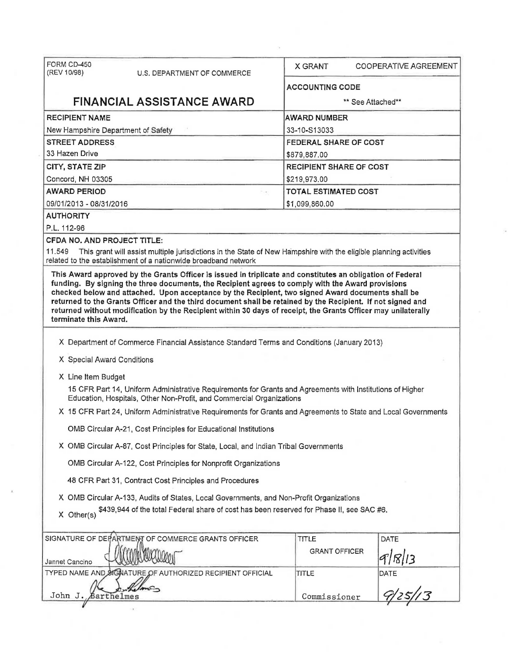| FORM CD-450                            |                                                                                                                                                                                     |                                |                       |  |
|----------------------------------------|-------------------------------------------------------------------------------------------------------------------------------------------------------------------------------------|--------------------------------|-----------------------|--|
| (REV 10/98)                            | U.S. DEPARTMENT OF COMMERCE                                                                                                                                                         | X GRANT                        | COOPERATIVE AGREEMENT |  |
|                                        |                                                                                                                                                                                     | <b>ACCOUNTING CODE</b>         |                       |  |
| <b>FINANCIAL ASSISTANCE AWARD</b>      |                                                                                                                                                                                     | ** See Attached**              |                       |  |
| <b>RECIPIENT NAME</b>                  |                                                                                                                                                                                     | <b>AWARD NUMBER</b>            |                       |  |
| New Hampshire Department of Safety     |                                                                                                                                                                                     | 33-10-S13033                   |                       |  |
| <b>STREET ADDRESS</b>                  |                                                                                                                                                                                     | FEDERAL SHARE OF COST          |                       |  |
| 33 Hazen Drive                         |                                                                                                                                                                                     | \$879,887.00                   |                       |  |
| CITY, STATE ZIP                        |                                                                                                                                                                                     | <b>RECIPIENT SHARE OF COST</b> |                       |  |
| Concord, NH 03305                      |                                                                                                                                                                                     | \$219,973.00                   |                       |  |
| <b>AWARD PERIOD</b>                    |                                                                                                                                                                                     | <b>TOTAL ESTIMATED COST</b>    |                       |  |
| 09/01/2013 - 08/31/2016                |                                                                                                                                                                                     | \$1,099,860.00                 |                       |  |
| <b>AUTHORITY</b>                       |                                                                                                                                                                                     |                                |                       |  |
| P.L. 112-96                            |                                                                                                                                                                                     |                                |                       |  |
| CFDA NO. AND PROJECT TITLE:            |                                                                                                                                                                                     |                                |                       |  |
| 11.549                                 | This grant will assist multiple jurisdictions in the State of New Hampshire with the eligible planning activities<br>related to the establishment of a nationwide broadband network |                                |                       |  |
| terminate this Award.                  |                                                                                                                                                                                     |                                |                       |  |
|                                        | X Department of Commerce Financial Assistance Standard Terms and Conditions (January 2013)                                                                                          |                                |                       |  |
| X Special Award Conditions             |                                                                                                                                                                                     |                                |                       |  |
|                                        |                                                                                                                                                                                     |                                |                       |  |
| X Line Item Budget                     | 15 CFR Part 14, Uniform Administrative Requirements for Grants and Agreements with Institutions of Higher<br>Education, Hospitals, Other Non-Profit, and Commercial Organizations   |                                |                       |  |
|                                        | X 15 CFR Part 24, Uniform Administrative Requirements for Grants and Agreements to State and Local Governments                                                                      |                                |                       |  |
|                                        | OMB Circular A-21, Cost Principles for Educational Institutions                                                                                                                     |                                |                       |  |
|                                        | X OMB Circular A-87, Cost Principles for State, Local, and Indian Tribal Governments                                                                                                |                                |                       |  |
|                                        | OMB Circular A-122, Cost Principles for Nonprofit Organizations                                                                                                                     |                                |                       |  |
|                                        | 48 CFR Part 31, Contract Cost Principles and Procedures                                                                                                                             |                                |                       |  |
|                                        | X OMB Circular A-133, Audits of States, Local Governments, and Non-Profit Organizations                                                                                             |                                |                       |  |
| X Other(s)                             | \$439,944 of the total Federal share of cost has been reserved for Phase II, see SAC #6.                                                                                            |                                |                       |  |
|                                        | SIGNATURE OF DEPARTMENT OF COMMERCE GRANTS OFFICER                                                                                                                                  | <b>TITLE</b>                   | <b>DATE</b>           |  |
|                                        |                                                                                                                                                                                     | <b>GRANT OFFICER</b>           | 9/18/13               |  |
|                                        |                                                                                                                                                                                     | TITLE                          |                       |  |
| Jannet Cancino<br>John J.<br>arthelmes | TYPED NAME AND SIGNATURE OF AUTHORIZED RECIPIENT OFFICIAL                                                                                                                           | Commissioner                   | DATE                  |  |